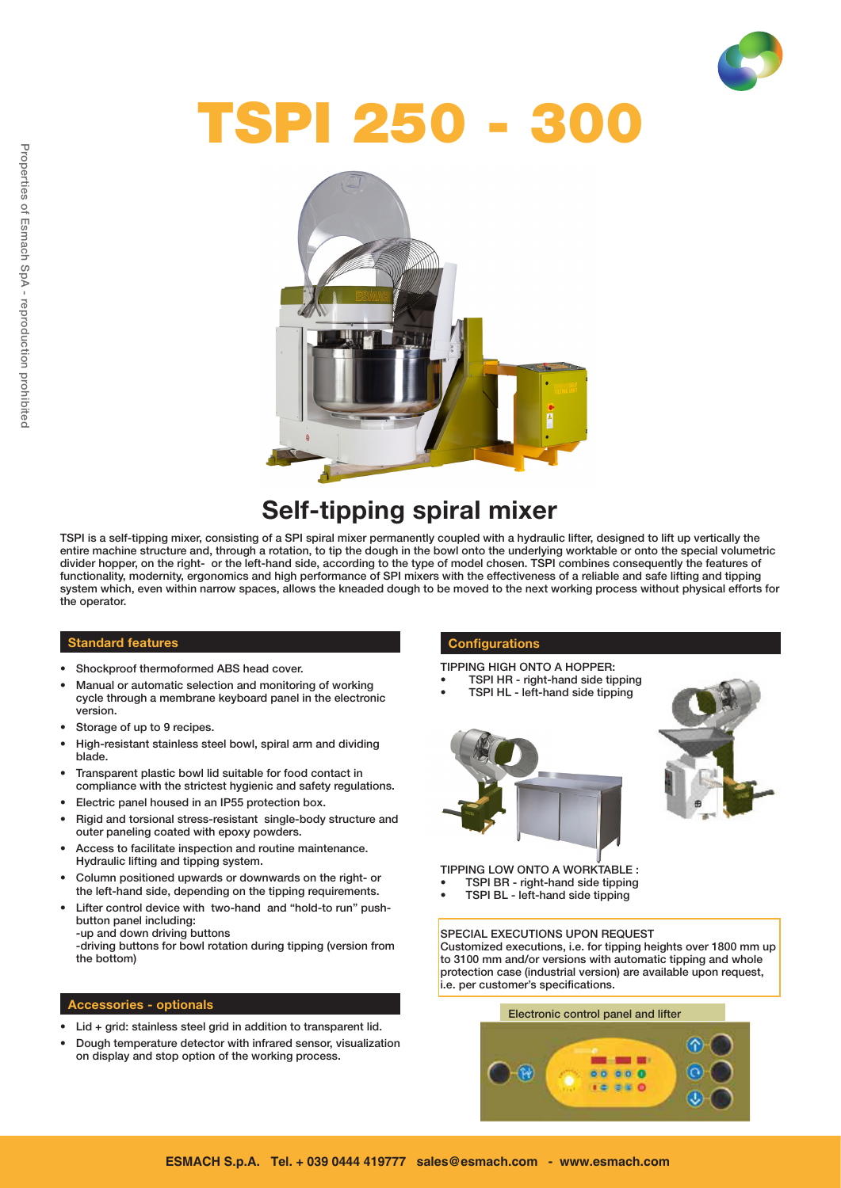

# TSPI 250 - 300



## Self-tipping spiral mixer

TSPI is a self-tipping mixer, consisting of a SPI spiral mixer permanently coupled with a hydraulic lifter, designed to lift up vertically the entire machine structure and, through a rotation, to tip the dough in the bowl onto the underlying worktable or onto the special volumetric divider hopper, on the right- or the left-hand side, according to the type of model chosen. TSPI combines consequently the features of functionality, modernity, ergonomics and high performance of SPI mixers with the effectiveness of a reliable and safe lifting and tipping system which, even within narrow spaces, allows the kneaded dough to be moved to the next working process without physical efforts for the operator.

#### Standard features

- Shockproof thermoformed ABS head cover.
- Manual or automatic selection and monitoring of working cycle through a membrane keyboard panel in the electronic version.
- Storage of up to 9 recipes.
- High-resistant stainless steel bowl, spiral arm and dividing blade.
- Transparent plastic bowl lid suitable for food contact in compliance with the strictest hygienic and safety regulations.
- • Electric panel housed in an IP55 protection box.
- Rigid and torsional stress-resistant single-body structure and outer paneling coated with epoxy powders.
- Access to facilitate inspection and routine maintenance. Hydraulic lifting and tipping system.
- Column positioned upwards or downwards on the right- or the left-hand side, depending on the tipping requirements.
- Lifter control device with two-hand and "hold-to run" pushbutton panel including: -up and down driving buttons

-driving buttons for bowl rotation during tipping (version from the bottom)

#### Accessories - optionals

- • Lid + grid: stainless steel grid in addition to transparent lid.
- Dough temperature detector with infrared sensor, visualization on display and stop option of the working process.

#### **Configurations**

- TIPPING HIGH ONTO A HOPPER:
- TSPI HR right-hand side tipping TSPI HL - left-hand side tipping
- 



TIPPING LOW ONTO A WORKTABLE : TSPI BR - right-hand side tipping

TSPI BL - left-hand side tipping

#### SPECIAL EXECUTIONS UPON REQUEST

Customized executions, i.e. for tipping heights over 1800 mm up to 3100 mm and/or versions with automatic tipping and whole protection case (industrial version) are available upon request, i.e. per customer's specifications.

#### Electronic control panel and lifter

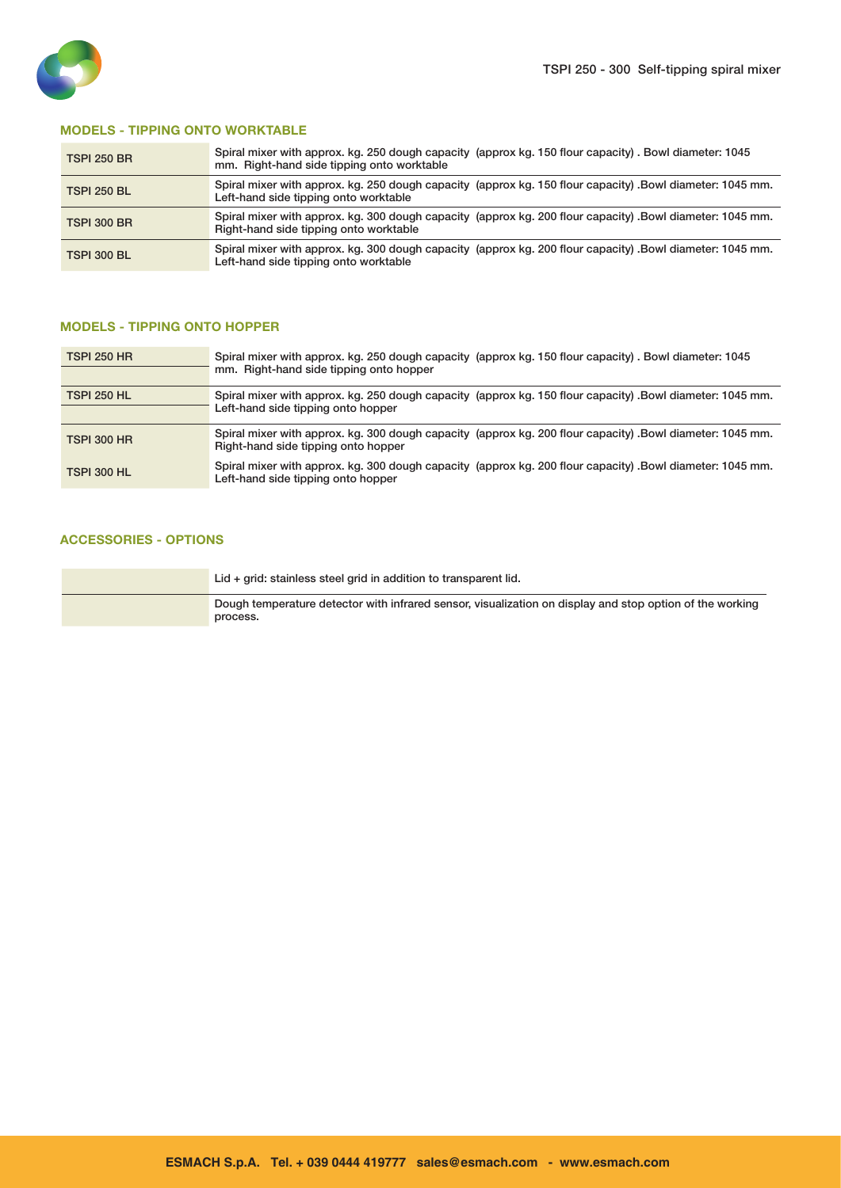

#### MODELS - TIPPING ONTO WORKTABLE

| <b>TSPI 250 BR</b> | Spiral mixer with approx. kg. 250 dough capacity (approx kg. 150 flour capacity). Bowl diameter: 1045<br>mm. Right-hand side tipping onto worktable |
|--------------------|-----------------------------------------------------------------------------------------------------------------------------------------------------|
| <b>TSPI 250 BL</b> | Spiral mixer with approx. kg. 250 dough capacity (approx kg. 150 flour capacity). Bowl diameter: 1045 mm.<br>Left-hand side tipping onto worktable  |
| <b>TSPI 300 BR</b> | Spiral mixer with approx. kg. 300 dough capacity (approx kg. 200 flour capacity) .Bowl diameter: 1045 mm.<br>Right-hand side tipping onto worktable |
| <b>TSPI 300 BL</b> | Spiral mixer with approx. kg. 300 dough capacity (approx kg. 200 flour capacity) .Bowl diameter: 1045 mm.<br>Left-hand side tipping onto worktable  |

#### MODELS - TIPPING ONTO HOPPER

| <b>TSPI 250 HR</b> | Spiral mixer with approx. kg. 250 dough capacity (approx kg. 150 flour capacity). Bowl diameter: 1045<br>mm. Right-hand side tipping onto hopper |
|--------------------|--------------------------------------------------------------------------------------------------------------------------------------------------|
| <b>TSPI 250 HL</b> | Spiral mixer with approx. kg. 250 dough capacity (approx kg. 150 flour capacity). Bowl diameter: 1045 mm.                                        |
|                    | Left-hand side tipping onto hopper                                                                                                               |
| <b>TSPI 300 HR</b> | Spiral mixer with approx. kg. 300 dough capacity (approx kg. 200 flour capacity) .Bowl diameter: 1045 mm.<br>Right-hand side tipping onto hopper |
| <b>TSPI 300 HL</b> | Spiral mixer with approx. kg. 300 dough capacity (approx kg. 200 flour capacity). Bowl diameter: 1045 mm.<br>Left-hand side tipping onto hopper  |

### ACCESSORIES - OPTIONS

| Lid + grid: stainless steel grid in addition to transparent lid.                                                     |
|----------------------------------------------------------------------------------------------------------------------|
| Dough temperature detector with infrared sensor, visualization on display and stop option of the working<br>process. |